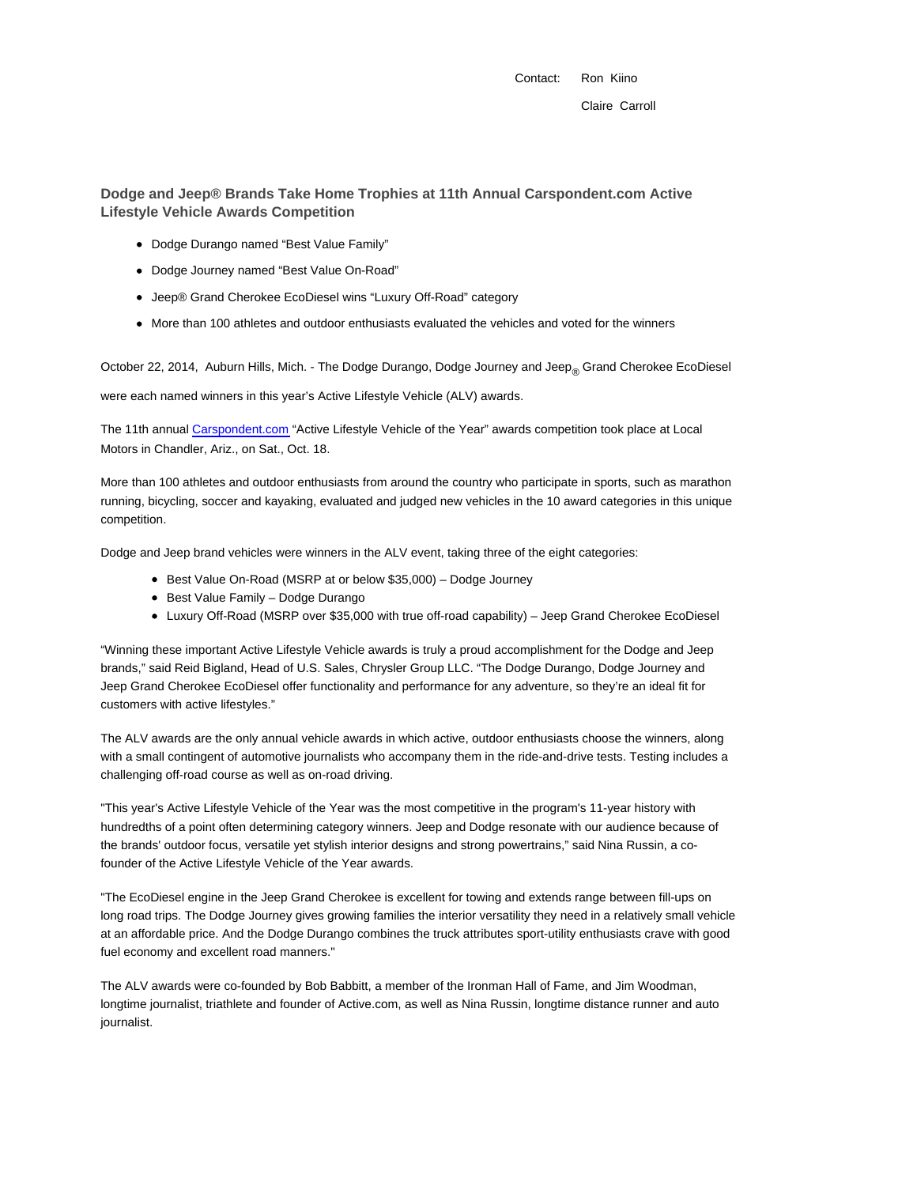Contact: Ron Kiino

# **Dodge and Jeep® Brands Take Home Trophies at 11th Annual Carspondent.com Active Lifestyle Vehicle Awards Competition**

- Dodge Durango named "Best Value Family"
- Dodge Journey named "Best Value On-Road"
- Jeep® Grand Cherokee EcoDiesel wins "Luxury Off-Road" category
- $\bullet$  More than 100 athletes and outdoor enthusiasts evaluated the vehicles and voted for the winners

October 22, 2014, Auburn Hills, Mich. - The Dodge Durango, Dodge Journey and Jeep<sub>®</sub> Grand Cherokee EcoDiesel

were each named winners in this year's Active Lifestyle Vehicle (ALV) awards.

The 11th annual Carspondent.com "Active Lifestyle Vehicle of the Year" awards competition took place at Local Motors in Chandler, Ariz., on Sat., Oct. 18.

More than 100 athletes and outdoor enthusiasts from around the country who participate in sports, such as marathon running, bicycling, soccer and kayaking, evaluated and judged new vehicles in the 10 award categories in this unique competition.

Dodge and Jeep brand vehicles were winners in the ALV event, taking three of the eight categories:

- Best Value On-Road (MSRP at or below \$35,000) Dodge Journey
- Best Value Family Dodge Durango
- Luxury Off-Road (MSRP over \$35,000 with true off-road capability) Jeep Grand Cherokee EcoDiesel

"Winning these important Active Lifestyle Vehicle awards is truly a proud accomplishment for the Dodge and Jeep brands," said Reid Bigland, Head of U.S. Sales, Chrysler Group LLC. "The Dodge Durango, Dodge Journey and Jeep Grand Cherokee EcoDiesel offer functionality and performance for any adventure, so they're an ideal fit for customers with active lifestyles."

The ALV awards are the only annual vehicle awards in which active, outdoor enthusiasts choose the winners, along with a small contingent of automotive journalists who accompany them in the ride-and-drive tests. Testing includes a challenging off-road course as well as on-road driving.

"This year's Active Lifestyle Vehicle of the Year was the most competitive in the program's 11-year history with hundredths of a point often determining category winners. Jeep and Dodge resonate with our audience because of the brands' outdoor focus, versatile yet stylish interior designs and strong powertrains," said Nina Russin, a cofounder of the Active Lifestyle Vehicle of the Year awards.

"The EcoDiesel engine in the Jeep Grand Cherokee is excellent for towing and extends range between fill-ups on long road trips. The Dodge Journey gives growing families the interior versatility they need in a relatively small vehicle at an affordable price. And the Dodge Durango combines the truck attributes sport-utility enthusiasts crave with good fuel economy and excellent road manners."

The ALV awards were co-founded by Bob Babbitt, a member of the Ironman Hall of Fame, and Jim Woodman, longtime journalist, triathlete and founder of Active.com, as well as Nina Russin, longtime distance runner and auto journalist.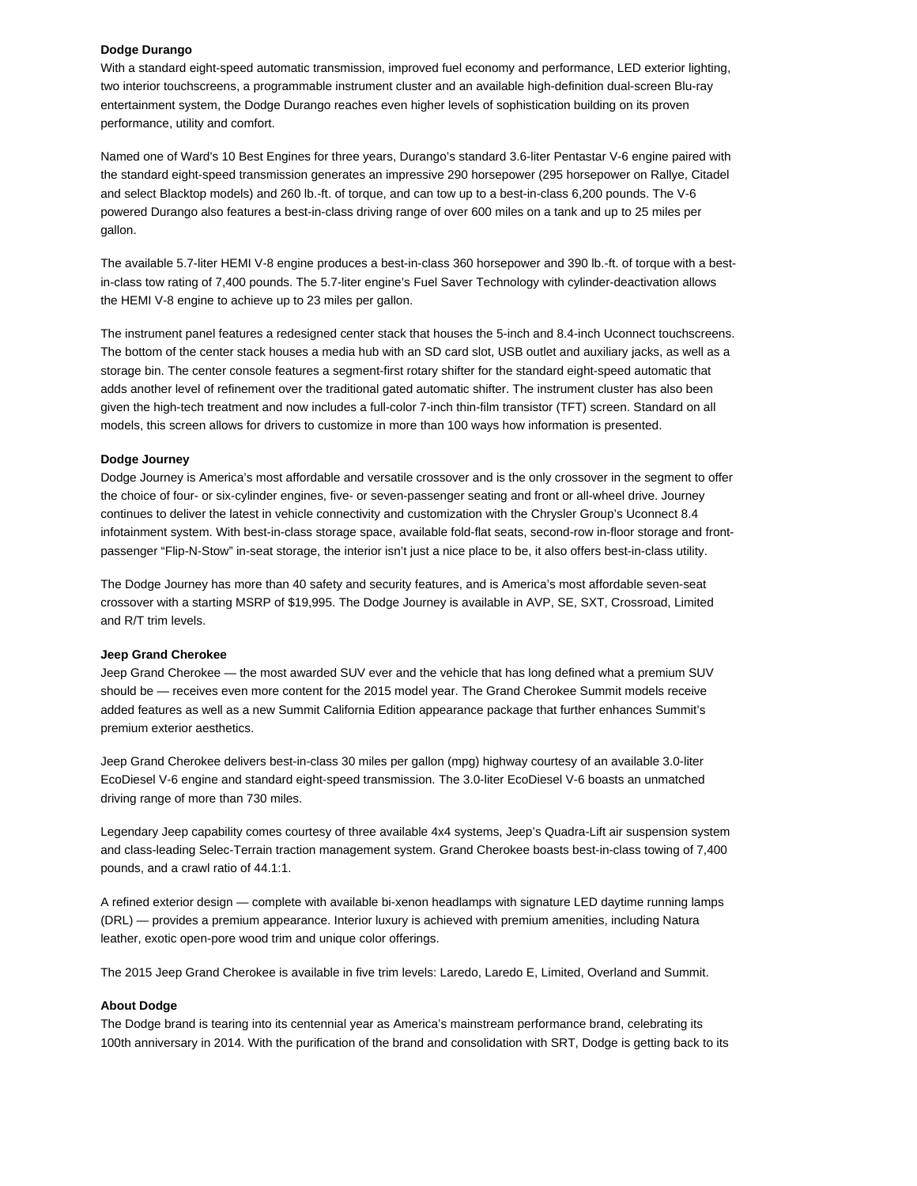# **Dodge Durango**

With a standard eight-speed automatic transmission, improved fuel economy and performance, LED exterior lighting, two interior touchscreens, a programmable instrument cluster and an available high-definition dual-screen Blu-ray entertainment system, the Dodge Durango reaches even higher levels of sophistication building on its proven performance, utility and comfort.

Named one of Ward's 10 Best Engines for three years, Durango's standard 3.6-liter Pentastar V-6 engine paired with the standard eight-speed transmission generates an impressive 290 horsepower (295 horsepower on Rallye, Citadel and select Blacktop models) and 260 lb.-ft. of torque, and can tow up to a best-in-class 6,200 pounds. The V-6 powered Durango also features a best-in-class driving range of over 600 miles on a tank and up to 25 miles per gallon.

The available 5.7-liter HEMI V-8 engine produces a best-in-class 360 horsepower and 390 lb.-ft. of torque with a bestin-class tow rating of 7,400 pounds. The 5.7-liter engine's Fuel Saver Technology with cylinder-deactivation allows the HEMI V-8 engine to achieve up to 23 miles per gallon.

The instrument panel features a redesigned center stack that houses the 5-inch and 8.4-inch Uconnect touchscreens. The bottom of the center stack houses a media hub with an SD card slot, USB outlet and auxiliary jacks, as well as a storage bin. The center console features a segment-first rotary shifter for the standard eight-speed automatic that adds another level of refinement over the traditional gated automatic shifter. The instrument cluster has also been given the high-tech treatment and now includes a full-color 7-inch thin-film transistor (TFT) screen. Standard on all models, this screen allows for drivers to customize in more than 100 ways how information is presented.

# **Dodge Journey**

Dodge Journey is America's most affordable and versatile crossover and is the only crossover in the segment to offer the choice of four- or six-cylinder engines, five- or seven-passenger seating and front or all-wheel drive. Journey continues to deliver the latest in vehicle connectivity and customization with the Chrysler Group's Uconnect 8.4 infotainment system. With best-in-class storage space, available fold-flat seats, second-row in-floor storage and frontpassenger "Flip-N-Stow" in-seat storage, the interior isn't just a nice place to be, it also offers best-in-class utility.

The Dodge Journey has more than 40 safety and security features, and is America's most affordable seven-seat crossover with a starting MSRP of \$19,995. The Dodge Journey is available in AVP, SE, SXT, Crossroad, Limited and R/T trim levels.

#### **Jeep Grand Cherokee**

Jeep Grand Cherokee — the most awarded SUV ever and the vehicle that has long defined what a premium SUV should be — receives even more content for the 2015 model year. The Grand Cherokee Summit models receive added features as well as a new Summit California Edition appearance package that further enhances Summit's premium exterior aesthetics.

Jeep Grand Cherokee delivers best-in-class 30 miles per gallon (mpg) highway courtesy of an available 3.0-liter EcoDiesel V-6 engine and standard eight-speed transmission. The 3.0-liter EcoDiesel V-6 boasts an unmatched driving range of more than 730 miles.

Legendary Jeep capability comes courtesy of three available 4x4 systems, Jeep's Quadra-Lift air suspension system and class-leading Selec-Terrain traction management system. Grand Cherokee boasts best-in-class towing of 7,400 pounds, and a crawl ratio of 44.1:1.

A refined exterior design — complete with available bi-xenon headlamps with signature LED daytime running lamps (DRL) — provides a premium appearance. Interior luxury is achieved with premium amenities, including Natura leather, exotic open-pore wood trim and unique color offerings.

The 2015 Jeep Grand Cherokee is available in five trim levels: Laredo, Laredo E, Limited, Overland and Summit.

#### **About Dodge**

The Dodge brand is tearing into its centennial year as America's mainstream performance brand, celebrating its 100th anniversary in 2014. With the purification of the brand and consolidation with SRT, Dodge is getting back to its